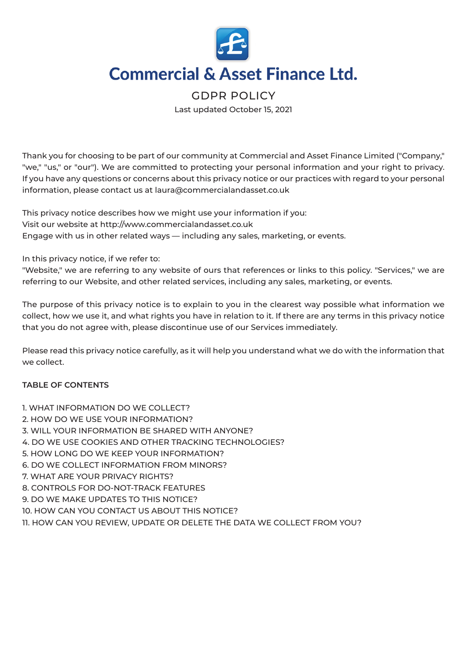

# **Commercial & Asset Finance Ltd.**

# GDPR POLICY

Last updated October 15, 2021

Thank you for choosing to be part of our community at Commercial and Asset Finance Limited ("Company," "we," "us," or "our"). We are committed to protecting your personal information and your right to privacy. If you have any questions or concerns about this privacy notice or our practices with regard to your personal information, please contact us at laura@commercialandasset.co.uk

This privacy notice describes how we might use your information if you: Visit our website at http://www.commercialandasset.co.uk Engage with us in other related ways ― including any sales, marketing, or events.

In this privacy notice, if we refer to:

"Website," we are referring to any website of ours that references or links to this policy. "Services," we are referring to our Website, and other related services, including any sales, marketing, or events.

The purpose of this privacy notice is to explain to you in the clearest way possible what information we collect, how we use it, and what rights you have in relation to it. If there are any terms in this privacy notice that you do not agree with, please discontinue use of our Services immediately.

Please read this privacy notice carefully, as it will help you understand what we do with the information that we collect.

# **TABLE OF CONTENTS**

- 1. WHAT INFORMATION DO WE COLLECT?
- 2. HOW DO WE USE YOUR INFORMATION?
- 3. WILL YOUR INFORMATION BE SHARED WITH ANYONE?
- 4. DO WE USE COOKIES AND OTHER TRACKING TECHNOLOGIES?
- 5. HOW LONG DO WE KEEP YOUR INFORMATION?
- 6. DO WE COLLECT INFORMATION FROM MINORS?
- 7. WHAT ARE YOUR PRIVACY RIGHTS?
- 8. CONTROLS FOR DO-NOT-TRACK FEATURES
- 9. DO WE MAKE UPDATES TO THIS NOTICE?
- 10. HOW CAN YOU CONTACT US ABOUT THIS NOTICE?
- 11. HOW CAN YOU REVIEW, UPDATE OR DELETE THE DATA WE COLLECT FROM YOU?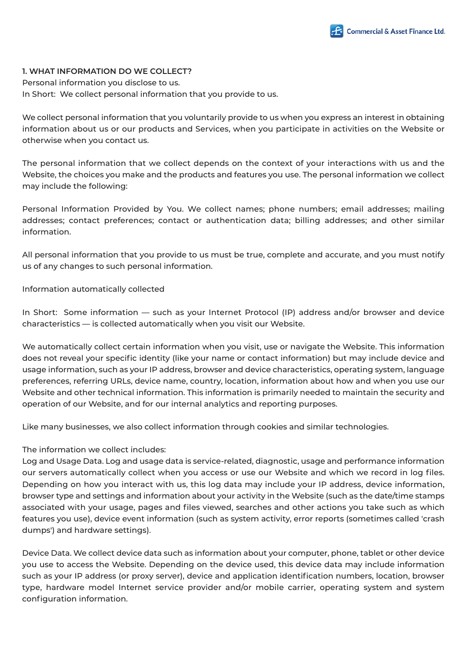

## **1. WHAT INFORMATION DO WE COLLECT?**

Personal information you disclose to us. In Short: We collect personal information that you provide to us.

We collect personal information that you voluntarily provide to us when you express an interest in obtaining information about us or our products and Services, when you participate in activities on the Website or otherwise when you contact us.

The personal information that we collect depends on the context of your interactions with us and the Website, the choices you make and the products and features you use. The personal information we collect may include the following:

Personal Information Provided by You. We collect names; phone numbers; email addresses; mailing addresses; contact preferences; contact or authentication data; billing addresses; and other similar information.

All personal information that you provide to us must be true, complete and accurate, and you must notify us of any changes to such personal information.

Information automatically collected

In Short: Some information — such as your Internet Protocol (IP) address and/or browser and device characteristics — is collected automatically when you visit our Website.

We automatically collect certain information when you visit, use or navigate the Website. This information does not reveal your specific identity (like your name or contact information) but may include device and usage information, such as your IP address, browser and device characteristics, operating system, language preferences, referring URLs, device name, country, location, information about how and when you use our Website and other technical information. This information is primarily needed to maintain the security and operation of our Website, and for our internal analytics and reporting purposes.

Like many businesses, we also collect information through cookies and similar technologies.

# The information we collect includes:

Log and Usage Data. Log and usage data is service-related, diagnostic, usage and performance information our servers automatically collect when you access or use our Website and which we record in log files. Depending on how you interact with us, this log data may include your IP address, device information, browser type and settings and information about your activity in the Website (such as the date/time stamps associated with your usage, pages and files viewed, searches and other actions you take such as which features you use), device event information (such as system activity, error reports (sometimes called 'crash dumps') and hardware settings).

Device Data. We collect device data such as information about your computer, phone, tablet or other device you use to access the Website. Depending on the device used, this device data may include information such as your IP address (or proxy server), device and application identification numbers, location, browser type, hardware model Internet service provider and/or mobile carrier, operating system and system configuration information.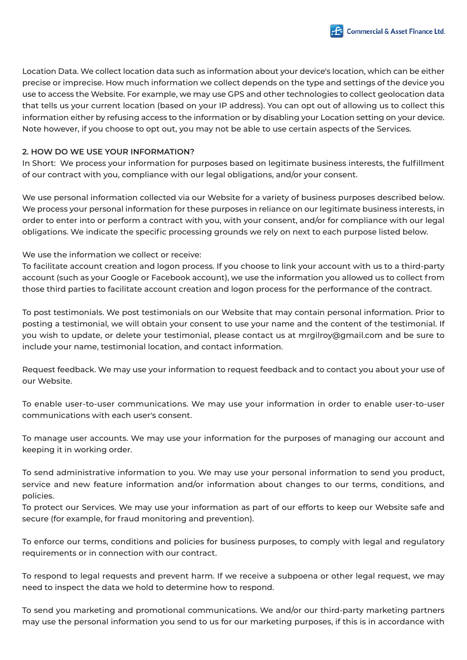

Location Data. We collect location data such as information about your device's location, which can be either precise or imprecise. How much information we collect depends on the type and settings of the device you use to access the Website. For example, we may use GPS and other technologies to collect geolocation data that tells us your current location (based on your IP address). You can opt out of allowing us to collect this information either by refusing access to the information or by disabling your Location setting on your device. Note however, if you choose to opt out, you may not be able to use certain aspects of the Services.

# **2. HOW DO WE USE YOUR INFORMATION?**

In Short: We process your information for purposes based on legitimate business interests, the fulfillment of our contract with you, compliance with our legal obligations, and/or your consent.

We use personal information collected via our Website for a variety of business purposes described below. We process your personal information for these purposes in reliance on our legitimate business interests, in order to enter into or perform a contract with you, with your consent, and/or for compliance with our legal obligations. We indicate the specific processing grounds we rely on next to each purpose listed below.

We use the information we collect or receive:

To facilitate account creation and logon process. If you choose to link your account with us to a third-party account (such as your Google or Facebook account), we use the information you allowed us to collect from those third parties to facilitate account creation and logon process for the performance of the contract.

To post testimonials. We post testimonials on our Website that may contain personal information. Prior to posting a testimonial, we will obtain your consent to use your name and the content of the testimonial. If you wish to update, or delete your testimonial, please contact us at mrgilroy@gmail.com and be sure to include your name, testimonial location, and contact information.

Request feedback. We may use your information to request feedback and to contact you about your use of our Website.

To enable user-to-user communications. We may use your information in order to enable user-to-user communications with each user's consent.

To manage user accounts. We may use your information for the purposes of managing our account and keeping it in working order.

To send administrative information to you. We may use your personal information to send you product, service and new feature information and/or information about changes to our terms, conditions, and policies.

To protect our Services. We may use your information as part of our efforts to keep our Website safe and secure (for example, for fraud monitoring and prevention).

To enforce our terms, conditions and policies for business purposes, to comply with legal and regulatory requirements or in connection with our contract.

To respond to legal requests and prevent harm. If we receive a subpoena or other legal request, we may need to inspect the data we hold to determine how to respond.

To send you marketing and promotional communications. We and/or our third-party marketing partners may use the personal information you send to us for our marketing purposes, if this is in accordance with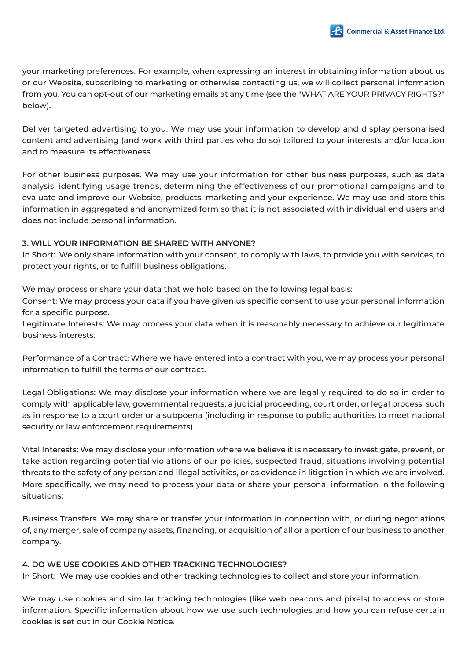

your marketing preferences. For example, when expressing an interest in obtaining information about us or our Website, subscribing to marketing or otherwise contacting us, we will collect personal information from you. You can opt-out of our marketing emails at any time (see the "WHAT ARE YOUR PRIVACY RIGHTS?" below).

Deliver targeted advertising to you. We may use your information to develop and display personalised content and advertising (and work with third parties who do so) tailored to your interests and/or location and to measure its effectiveness.

For other business purposes. We may use your information for other business purposes, such as data analysis, identifying usage trends, determining the effectiveness of our promotional campaigns and to evaluate and improve our Website, products, marketing and your experience. We may use and store this information in aggregated and anonymized form so that it is not associated with individual end users and does not include personal information.

# **3. WILL YOUR INFORMATION BE SHARED WITH ANYONE?**

In Short: We only share information with your consent, to comply with laws, to provide you with services, to protect your rights, or to fulfill business obligations.

We may process or share your data that we hold based on the following legal basis:

Consent: We may process your data if you have given us specific consent to use your personal information for a specific purpose.

Legitimate Interests: We may process your data when it is reasonably necessary to achieve our legitimate business interests.

Performance of a Contract: Where we have entered into a contract with you, we may process your personal information to fulfill the terms of our contract.

Legal Obligations: We may disclose your information where we are legally required to do so in order to comply with applicable law, governmental requests, a judicial proceeding, court order, or legal process, such as in response to a court order or a subpoena (including in response to public authorities to meet national security or law enforcement requirements).

Vital Interests: We may disclose your information where we believe it is necessary to investigate, prevent, or take action regarding potential violations of our policies, suspected fraud, situations involving potential threats to the safety of any person and illegal activities, or as evidence in litigation in which we are involved. More specifically, we may need to process your data or share your personal information in the following situations:

Business Transfers. We may share or transfer your information in connection with, or during negotiations of, any merger, sale of company assets, financing, or acquisition of all or a portion of our business to another company.

# **4. DO WE USE COOKIES AND OTHER TRACKING TECHNOLOGIES?**

In Short: We may use cookies and other tracking technologies to collect and store your information.

We may use cookies and similar tracking technologies (like web beacons and pixels) to access or store information. Specific information about how we use such technologies and how you can refuse certain cookies is set out in our Cookie Notice.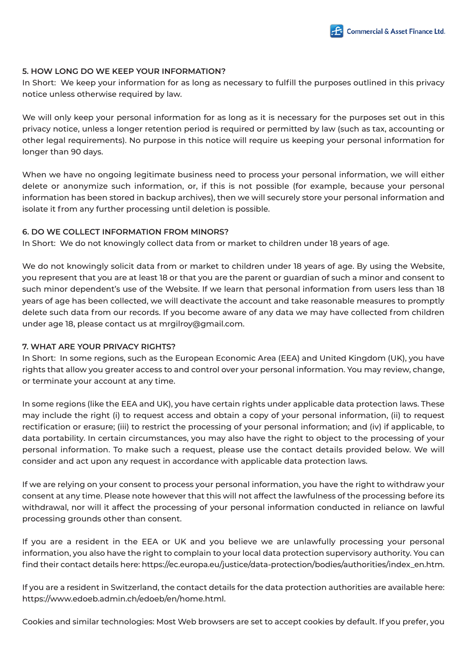

# **5. HOW LONG DO WE KEEP YOUR INFORMATION?**

In Short: We keep your information for as long as necessary to fulfill the purposes outlined in this privacy notice unless otherwise required by law.

We will only keep your personal information for as long as it is necessary for the purposes set out in this privacy notice, unless a longer retention period is required or permitted by law (such as tax, accounting or other legal requirements). No purpose in this notice will require us keeping your personal information for longer than 90 days.

When we have no ongoing legitimate business need to process your personal information, we will either delete or anonymize such information, or, if this is not possible (for example, because your personal information has been stored in backup archives), then we will securely store your personal information and isolate it from any further processing until deletion is possible.

# **6. DO WE COLLECT INFORMATION FROM MINORS?**

In Short: We do not knowingly collect data from or market to children under 18 years of age.

We do not knowingly solicit data from or market to children under 18 years of age. By using the Website, you represent that you are at least 18 or that you are the parent or guardian of such a minor and consent to such minor dependent's use of the Website. If we learn that personal information from users less than 18 years of age has been collected, we will deactivate the account and take reasonable measures to promptly delete such data from our records. If you become aware of any data we may have collected from children under age 18, please contact us at mrgilroy@gmail.com.

# **7. WHAT ARE YOUR PRIVACY RIGHTS?**

In Short: In some regions, such as the European Economic Area (EEA) and United Kingdom (UK), you have rights that allow you greater access to and control over your personal information. You may review, change, or terminate your account at any time.

In some regions (like the EEA and UK), you have certain rights under applicable data protection laws. These may include the right (i) to request access and obtain a copy of your personal information, (ii) to request rectification or erasure; (iii) to restrict the processing of your personal information; and (iv) if applicable, to data portability. In certain circumstances, you may also have the right to object to the processing of your personal information. To make such a request, please use the contact details provided below. We will consider and act upon any request in accordance with applicable data protection laws.

If we are relying on your consent to process your personal information, you have the right to withdraw your consent at any time. Please note however that this will not affect the lawfulness of the processing before its withdrawal, nor will it affect the processing of your personal information conducted in reliance on lawful processing grounds other than consent.

If you are a resident in the EEA or UK and you believe we are unlawfully processing your personal information, you also have the right to complain to your local data protection supervisory authority. You can find their contact details here: https://ec.europa.eu/justice/data-protection/bodies/authorities/index\_en.htm.

If you are a resident in Switzerland, the contact details for the data protection authorities are available here: https://www.edoeb.admin.ch/edoeb/en/home.html.

Cookies and similar technologies: Most Web browsers are set to accept cookies by default. If you prefer, you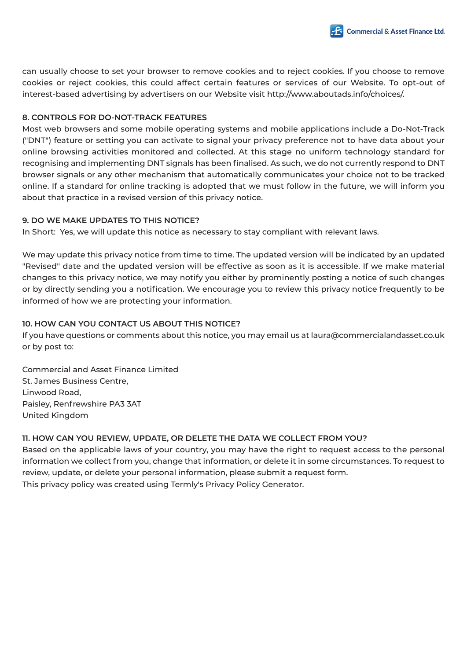

can usually choose to set your browser to remove cookies and to reject cookies. If you choose to remove cookies or reject cookies, this could affect certain features or services of our Website. To opt-out of interest-based advertising by advertisers on our Website visit http://www.aboutads.info/choices/.

# **8. CONTROLS FOR DO-NOT-TRACK FEATURES**

Most web browsers and some mobile operating systems and mobile applications include a Do-Not-Track ("DNT") feature or setting you can activate to signal your privacy preference not to have data about your online browsing activities monitored and collected. At this stage no uniform technology standard for recognising and implementing DNT signals has been finalised. As such, we do not currently respond to DNT browser signals or any other mechanism that automatically communicates your choice not to be tracked online. If a standard for online tracking is adopted that we must follow in the future, we will inform you about that practice in a revised version of this privacy notice.

# **9. DO WE MAKE UPDATES TO THIS NOTICE?**

In Short: Yes, we will update this notice as necessary to stay compliant with relevant laws.

We may update this privacy notice from time to time. The updated version will be indicated by an updated "Revised" date and the updated version will be effective as soon as it is accessible. If we make material changes to this privacy notice, we may notify you either by prominently posting a notice of such changes or by directly sending you a notification. We encourage you to review this privacy notice frequently to be informed of how we are protecting your information.

# **10. HOW CAN YOU CONTACT US ABOUT THIS NOTICE?**

If you have questions or comments about this notice, you may email us at laura@commercialandasset.co.uk or by post to:

Commercial and Asset Finance Limited St. James Business Centre, Linwood Road, Paisley, Renfrewshire PA3 3AT United Kingdom

# **11. HOW CAN YOU REVIEW, UPDATE, OR DELETE THE DATA WE COLLECT FROM YOU?**

Based on the applicable laws of your country, you may have the right to request access to the personal information we collect from you, change that information, or delete it in some circumstances. To request to review, update, or delete your personal information, please submit a request form. This privacy policy was created using Termly's Privacy Policy Generator.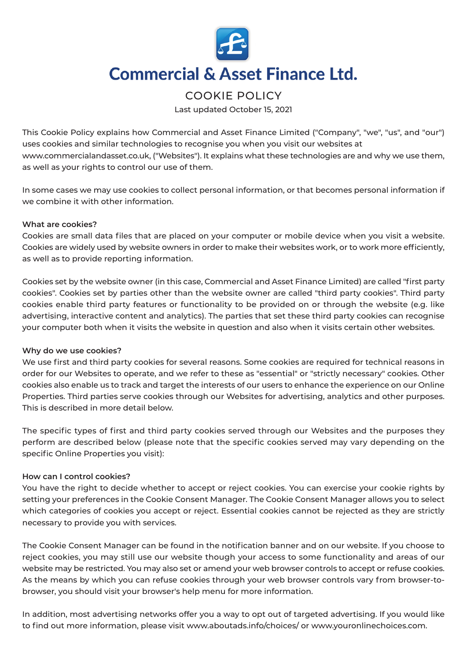

# **Commercial & Asset Finance Ltd.**

# COOKIE POLICY

Last updated October 15, 2021

This Cookie Policy explains how Commercial and Asset Finance Limited ("Company", "we", "us", and "our") uses cookies and similar technologies to recognise you when you visit our websites at www.commercialandasset.co.uk, ("Websites"). It explains what these technologies are and why we use them, as well as your rights to control our use of them.

In some cases we may use cookies to collect personal information, or that becomes personal information if we combine it with other information.

# **What are cookies?**

Cookies are small data files that are placed on your computer or mobile device when you visit a website. Cookies are widely used by website owners in order to make their websites work, or to work more efficiently, as well as to provide reporting information.

Cookies set by the website owner (in this case, Commercial and Asset Finance Limited) are called "first party cookies". Cookies set by parties other than the website owner are called "third party cookies". Third party cookies enable third party features or functionality to be provided on or through the website (e.g. like advertising, interactive content and analytics). The parties that set these third party cookies can recognise your computer both when it visits the website in question and also when it visits certain other websites.

# **Why do we use cookies?**

We use first and third party cookies for several reasons. Some cookies are required for technical reasons in order for our Websites to operate, and we refer to these as "essential" or "strictly necessary" cookies. Other cookies also enable us to track and target the interests of our users to enhance the experience on our Online Properties. Third parties serve cookies through our Websites for advertising, analytics and other purposes. This is described in more detail below.

The specific types of first and third party cookies served through our Websites and the purposes they perform are described below (please note that the specific cookies served may vary depending on the specific Online Properties you visit):

# **How can I control cookies?**

You have the right to decide whether to accept or reject cookies. You can exercise your cookie rights by setting your preferences in the Cookie Consent Manager. The Cookie Consent Manager allows you to select which categories of cookies you accept or reject. Essential cookies cannot be rejected as they are strictly necessary to provide you with services.

The Cookie Consent Manager can be found in the notification banner and on our website. If you choose to reject cookies, you may still use our website though your access to some functionality and areas of our website may be restricted. You may also set or amend your web browser controls to accept or refuse cookies. As the means by which you can refuse cookies through your web browser controls vary from browser-tobrowser, you should visit your browser's help menu for more information.

In addition, most advertising networks offer you a way to opt out of targeted advertising. If you would like to find out more information, please visit www.aboutads.info/choices/ or www.youronlinechoices.com.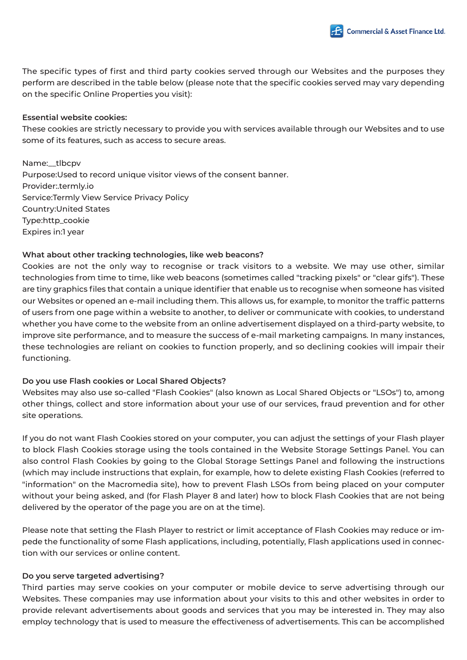

The specific types of first and third party cookies served through our Websites and the purposes they perform are described in the table below (please note that the specific cookies served may vary depending on the specific Online Properties you visit):

#### **Essential website cookies:**

These cookies are strictly necessary to provide you with services available through our Websites and to use some of its features, such as access to secure areas.

Name:\_\_tlbcpv Purpose:Used to record unique visitor views of the consent banner. Provider:.termly.io Service:Termly View Service Privacy Policy Country:United States Type:http\_cookie Expires in:1 year

# **What about other tracking technologies, like web beacons?**

Cookies are not the only way to recognise or track visitors to a website. We may use other, similar technologies from time to time, like web beacons (sometimes called "tracking pixels" or "clear gifs"). These are tiny graphics files that contain a unique identifier that enable us to recognise when someone has visited our Websites or opened an e-mail including them. This allows us, for example, to monitor the traffic patterns of users from one page within a website to another, to deliver or communicate with cookies, to understand whether you have come to the website from an online advertisement displayed on a third-party website, to improve site performance, and to measure the success of e-mail marketing campaigns. In many instances, these technologies are reliant on cookies to function properly, and so declining cookies will impair their functioning.

# **Do you use Flash cookies or Local Shared Objects?**

Websites may also use so-called "Flash Cookies" (also known as Local Shared Objects or "LSOs") to, among other things, collect and store information about your use of our services, fraud prevention and for other site operations.

If you do not want Flash Cookies stored on your computer, you can adjust the settings of your Flash player to block Flash Cookies storage using the tools contained in the Website Storage Settings Panel. You can also control Flash Cookies by going to the Global Storage Settings Panel and following the instructions (which may include instructions that explain, for example, how to delete existing Flash Cookies (referred to "information" on the Macromedia site), how to prevent Flash LSOs from being placed on your computer without your being asked, and (for Flash Player 8 and later) how to block Flash Cookies that are not being delivered by the operator of the page you are on at the time).

Please note that setting the Flash Player to restrict or limit acceptance of Flash Cookies may reduce or impede the functionality of some Flash applications, including, potentially, Flash applications used in connection with our services or online content.

# **Do you serve targeted advertising?**

Third parties may serve cookies on your computer or mobile device to serve advertising through our Websites. These companies may use information about your visits to this and other websites in order to provide relevant advertisements about goods and services that you may be interested in. They may also employ technology that is used to measure the effectiveness of advertisements. This can be accomplished